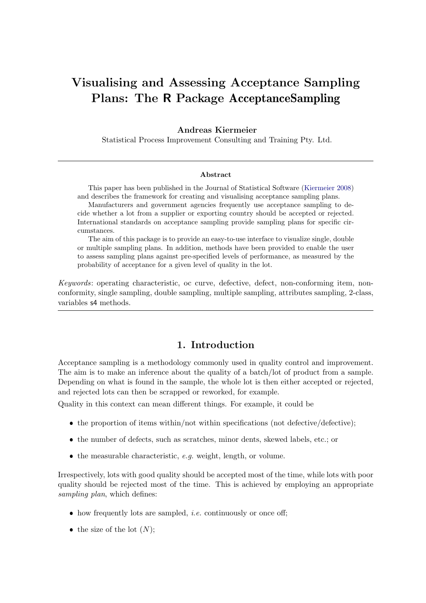# Visualising and Assessing Acceptance Sampling Plans: The R Package AcceptanceSampling

#### Andreas Kiermeier

Statistical Process Improvement Consulting and Training Pty. Ltd.

#### Abstract

This paper has been published in the Journal of Statistical Software [\(Kiermeier](#page-20-0) [2008\)](#page-20-0) and describes the framework for creating and visualising acceptance sampling plans.

Manufacturers and government agencies frequently use acceptance sampling to decide whether a lot from a supplier or exporting country should be accepted or rejected. International standards on acceptance sampling provide sampling plans for specific circumstances.

The aim of this package is to provide an easy-to-use interface to visualize single, double or multiple sampling plans. In addition, methods have been provided to enable the user to assess sampling plans against pre-specified levels of performance, as measured by the probability of acceptance for a given level of quality in the lot.

Keywords: operating characteristic, oc curve, defective, defect, non-conforming item, nonconformity, single sampling, double sampling, multiple sampling, attributes sampling, 2-class, variables s4 methods.

# 1. Introduction

Acceptance sampling is a methodology commonly used in quality control and improvement. The aim is to make an inference about the quality of a batch/lot of product from a sample. Depending on what is found in the sample, the whole lot is then either accepted or rejected, and rejected lots can then be scrapped or reworked, for example.

Quality in this context can mean different things. For example, it could be

- the proportion of items within/not within specifications (not defective/defective);
- the number of defects, such as scratches, minor dents, skewed labels, etc.; or
- $\bullet$  the measurable characteristic, e.g. weight, length, or volume.

Irrespectively, lots with good quality should be accepted most of the time, while lots with poor quality should be rejected most of the time. This is achieved by employing an appropriate sampling plan, which defines:

- $\bullet$  how frequently lots are sampled, *i.e.* continuously or once off;
- the size of the lot  $(N)$ ;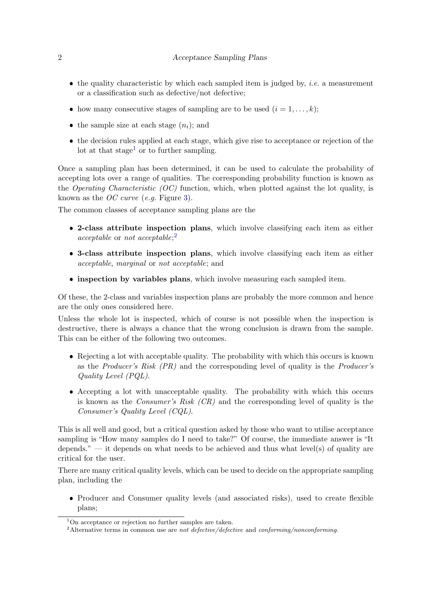- $\bullet$  the quality characteristic by which each sampled item is judged by, *i.e.* a measurement or a classification such as defective/not defective;
- how many consecutive stages of sampling are to be used  $(i = 1, \ldots, k);$
- the sample size at each stage  $(n_i)$ ; and
- the decision rules applied at each stage, which give rise to acceptance or rejection of the lot at that stage<sup>[1](#page-1-0)</sup> or to further sampling.

Once a sampling plan has been determined, it can be used to calculate the probability of accepting lots over a range of qualities. The corresponding probability function is known as the *Operating Characteristic (OC)* function, which, when plotted against the lot quality, is known as the OC curve (e.g. Figure [3\)](#page-10-0).

The common classes of acceptance sampling plans are the

- 2-class attribute inspection plans, which involve classifying each item as either acceptable or not acceptable; [2](#page-1-1)
- 3-class attribute inspection plans, which involve classifying each item as either acceptable, marginal or not acceptable; and
- inspection by variables plans, which involve measuring each sampled item.

Of these, the 2-class and variables inspection plans are probably the more common and hence are the only ones considered here.

Unless the whole lot is inspected, which of course is not possible when the inspection is destructive, there is always a chance that the wrong conclusion is drawn from the sample. This can be either of the following two outcomes.

- Rejecting a lot with acceptable quality. The probability with which this occurs is known as the Producer's Risk (PR) and the corresponding level of quality is the Producer's Quality Level (PQL).
- Accepting a lot with unacceptable quality. The probability with which this occurs is known as the *Consumer's Risk (CR)* and the corresponding level of quality is the Consumer's Quality Level (CQL).

This is all well and good, but a critical question asked by those who want to utilise acceptance sampling is "How many samples do I need to take?" Of course, the immediate answer is "It depends." — it depends on what needs to be achieved and thus what level(s) of quality are critical for the user.

There are many critical quality levels, which can be used to decide on the appropriate sampling plan, including the

 Producer and Consumer quality levels (and associated risks), used to create flexible plans;

<span id="page-1-0"></span> $1$ On acceptance or rejection no further samples are taken.

<span id="page-1-1"></span><sup>&</sup>lt;sup>2</sup>Alternative terms in common use are not defective/defective and conforming/nonconforming.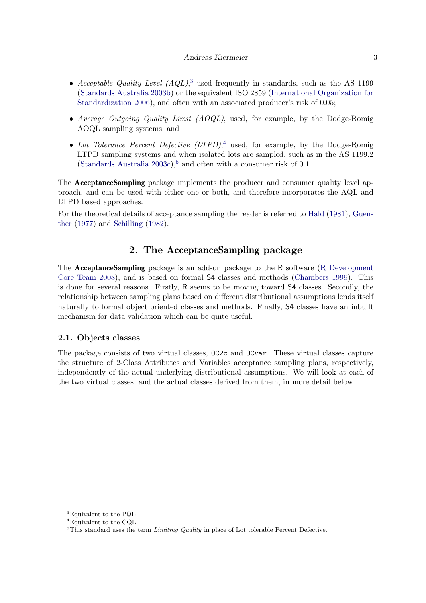#### Andreas Kiermeier 3

- Acceptable Quality Level  $(AQL)$ ,<sup>[3](#page-2-0)</sup> used frequently in standards, such as the AS 1199 [\(Standards Australia](#page-20-1) [2003b\)](#page-20-1) or the equivalent ISO 2859 [\(International Organization for](#page-20-2) [Standardization](#page-20-2) [2006\)](#page-20-2), and often with an associated producer's risk of 0.05;
- Average Outgoing Quality Limit  $(AOQL)$ , used, for example, by the Dodge-Romig AOQL sampling systems; and
- Lot Tolerance Percent Defective  $(LTPD)^4$  $(LTPD)^4$ , used, for example, by the Dodge-Romig LTPD sampling systems and when isolated lots are sampled, such as in the AS 1199.2 [\(Standards Australia](#page-20-3) [2003c\)](#page-20-3),<sup>[5](#page-2-2)</sup> and often with a consumer risk of 0.1.

The AcceptanceSampling package implements the producer and consumer quality level approach, and can be used with either one or both, and therefore incorporates the AQL and LTPD based approaches.

For the theoretical details of acceptance sampling the reader is referred to [Hald](#page-20-4) [\(1981\)](#page-20-4), [Guen](#page-19-0)[ther](#page-19-0) [\(1977\)](#page-19-0) and [Schilling](#page-20-5) [\(1982\)](#page-20-5).

# 2. The AcceptanceSampling package

The AcceptanceSampling package is an add-on package to the R software [\(R Development](#page-20-6) [Core Team](#page-20-6) [2008\)](#page-20-6), and is based on formal S4 classes and methods [\(Chambers](#page-19-1) [1999\)](#page-19-1). This is done for several reasons. Firstly, R seems to be moving toward S4 classes. Secondly, the relationship between sampling plans based on different distributional assumptions lends itself naturally to formal object oriented classes and methods. Finally, S4 classes have an inbuilt mechanism for data validation which can be quite useful.

#### 2.1. Objects classes

The package consists of two virtual classes, OC2c and OCvar. These virtual classes capture the structure of 2-Class Attributes and Variables acceptance sampling plans, respectively, independently of the actual underlying distributional assumptions. We will look at each of the two virtual classes, and the actual classes derived from them, in more detail below.

<span id="page-2-0"></span><sup>3</sup>Equivalent to the PQL

<span id="page-2-1"></span> $^4\rm{E}$  quivalent to the CQL

<span id="page-2-2"></span> $5$ This standard uses the term Limiting Quality in place of Lot tolerable Percent Defective.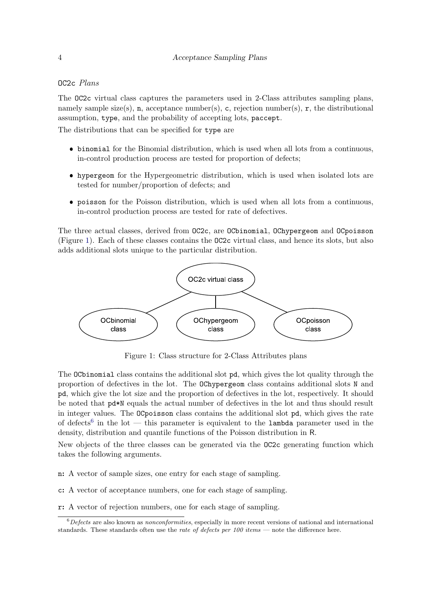#### OC2c Plans

The OC2c virtual class captures the parameters used in 2-Class attributes sampling plans, namely sample size(s), n, acceptance number(s), c, rejection number(s), r, the distributional assumption, type, and the probability of accepting lots, paccept.

The distributions that can be specified for type are

- binomial for the Binomial distribution, which is used when all lots from a continuous, in-control production process are tested for proportion of defects;
- hypergeom for the Hypergeometric distribution, which is used when isolated lots are tested for number/proportion of defects; and
- poisson for the Poisson distribution, which is used when all lots from a continuous, in-control production process are tested for rate of defectives.

The three actual classes, derived from OC2c, are OCbinomial, OChypergeom and OCpoisson (Figure [1\)](#page-3-0). Each of these classes contains the OC2c virtual class, and hence its slots, but also adds additional slots unique to the particular distribution.



<span id="page-3-0"></span>Figure 1: Class structure for 2-Class Attributes plans

The OCbinomial class contains the additional slot pd, which gives the lot quality through the proportion of defectives in the lot. The OChypergeom class contains additional slots N and pd, which give the lot size and the proportion of defectives in the lot, respectively. It should be noted that pd\*N equals the actual number of defectives in the lot and thus should result in integer values. The OCpoisson class contains the additional slot pd, which gives the rate of defects<sup>[6](#page-3-1)</sup> in the lot — this parameter is equivalent to the lambda parameter used in the density, distribution and quantile functions of the Poisson distribution in R.

New objects of the three classes can be generated via the OC2c generating function which takes the following arguments.

- n: A vector of sample sizes, one entry for each stage of sampling.
- c: A vector of acceptance numbers, one for each stage of sampling.

r: A vector of rejection numbers, one for each stage of sampling.

<span id="page-3-1"></span> $6$ Defects are also known as *nonconformities*, especially in more recent versions of national and international standards. These standards often use the rate of defects per 100 items — note the difference here.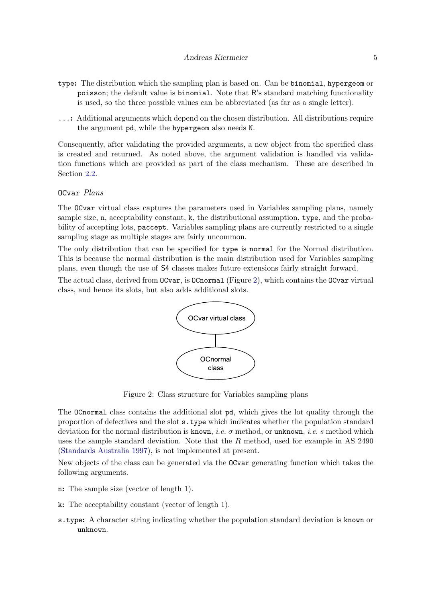- type: The distribution which the sampling plan is based on. Can be binomial, hypergeom or poisson; the default value is binomial. Note that R's standard matching functionality is used, so the three possible values can be abbreviated (as far as a single letter).
- ...: Additional arguments which depend on the chosen distribution. All distributions require the argument pd, while the hypergeom also needs N.

Consequently, after validating the provided arguments, a new object from the specified class is created and returned. As noted above, the argument validation is handled via validation functions which are provided as part of the class mechanism. These are described in Section [2.2.](#page-5-0)

## OCvar Plans

The OCvar virtual class captures the parameters used in Variables sampling plans, namely sample size, n, acceptability constant, k, the distributional assumption, type, and the probability of accepting lots, paccept. Variables sampling plans are currently restricted to a single sampling stage as multiple stages are fairly uncommon.

The only distribution that can be specified for type is normal for the Normal distribution. This is because the normal distribution is the main distribution used for Variables sampling plans, even though the use of S4 classes makes future extensions fairly straight forward.

The actual class, derived from OCvar, is OCnormal (Figure [2\)](#page-4-0), which contains the OCvar virtual class, and hence its slots, but also adds additional slots.



<span id="page-4-0"></span>Figure 2: Class structure for Variables sampling plans

The OCnormal class contains the additional slot pd, which gives the lot quality through the proportion of defectives and the slot s.type which indicates whether the population standard deviation for the normal distribution is known, *i.e.*  $\sigma$  method, or unknown, *i.e.* s method which uses the sample standard deviation. Note that the R method, used for example in AS 2490 [\(Standards Australia](#page-20-7) [1997\)](#page-20-7), is not implemented at present.

New objects of the class can be generated via the OCvar generating function which takes the following arguments.

- n: The sample size (vector of length 1).
- k: The acceptability constant (vector of length 1).
- s.type: A character string indicating whether the population standard deviation is known or unknown.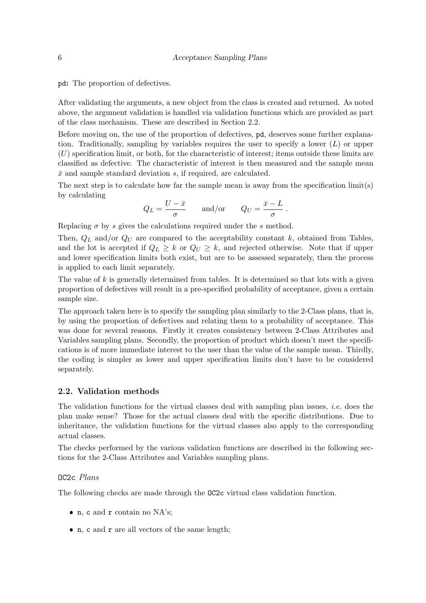pd: The proportion of defectives.

After validating the arguments, a new object from the class is created and returned. As noted above, the argument validation is handled via validation functions which are provided as part of the class mechanism. These are described in Section [2.2.](#page-5-0)

Before moving on, the use of the proportion of defectives, pd, deserves some further explanation. Traditionally, sampling by variables requires the user to specify a lower  $(L)$  or upper  $(U)$  specification limit, or both, for the characteristic of interest; items outside these limits are classified as defective. The characteristic of interest is then measured and the sample mean  $\bar{x}$  and sample standard deviation s, if required, are calculated.

The next step is to calculate how far the sample mean is away from the specification limit(s) by calculating

$$
Q_L = \frac{U - \bar{x}}{\sigma}
$$
 and/or  $Q_U = \frac{\bar{x} - L}{\sigma}$ .

Replacing  $\sigma$  by s gives the calculations required under the s method.

Then,  $Q_L$  and/or  $Q_U$  are compared to the acceptability constant k, obtained from Tables, and the lot is accepted if  $Q_L \geq k$  or  $Q_U \geq k$ , and rejected otherwise. Note that if upper and lower specification limits both exist, but are to be assessed separately, then the process is applied to each limit separately.

The value of  $k$  is generally determined from tables. It is determined so that lots with a given proportion of defectives will result in a pre-specified probability of acceptance, given a certain sample size.

The approach taken here is to specify the sampling plan similarly to the 2-Class plans, that is, by using the proportion of defectives and relating them to a probability of acceptance. This was done for several reasons. Firstly it creates consistency between 2-Class Attributes and Variables sampling plans. Secondly, the proportion of product which doesn't meet the specifications is of more immediate interest to the user than the value of the sample mean. Thirdly, the coding is simpler as lower and upper specification limits don't have to be considered separately.

#### <span id="page-5-0"></span>2.2. Validation methods

The validation functions for the virtual classes deal with sampling plan issues, *i.e.* does the plan make sense? Those for the actual classes deal with the specific distributions. Due to inheritance, the validation functions for the virtual classes also apply to the corresponding actual classes.

The checks performed by the various validation functions are described in the following sections for the 2-Class Attributes and Variables sampling plans.

#### OC2c Plans

The following checks are made through the OC2c virtual class validation function.

- n, c and r contain no NA's;
- n, c and r are all vectors of the same length;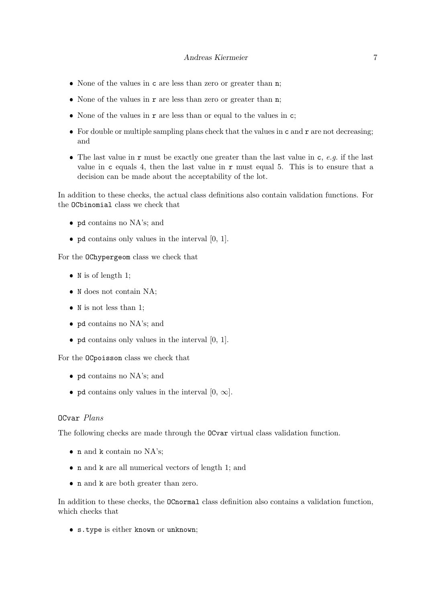- None of the values in **c** are less than zero or greater than **n**;
- None of the values in  $r$  are less than zero or greater than  $n$ ;
- None of the values in  $r$  are less than or equal to the values in  $c$ ;
- For double or multiple sampling plans check that the values in  $c$  and  $r$  are not decreasing; and
- The last value in  $r$  must be exactly one greater than the last value in  $c, e.g.$  if the last value in c equals 4, then the last value in r must equal 5. This is to ensure that a decision can be made about the acceptability of the lot.

In addition to these checks, the actual class definitions also contain validation functions. For the OCbinomial class we check that

- pd contains no NA's; and
- $\bullet$  pd contains only values in the interval  $[0, 1]$ .

For the OChypergeom class we check that

- $\bullet$  N is of length 1;
- $\bullet\,$  N does not contain NA;
- $\bullet$  N is not less than 1;
- pd contains no NA's; and
- $\bullet$  pd contains only values in the interval  $[0, 1]$ .

For the OCpoisson class we check that

- pd contains no NA's; and
- pd contains only values in the interval  $[0, \infty]$ .

#### OCvar Plans

The following checks are made through the OCvar virtual class validation function.

- $\bullet\,$ n and k contain no NA's;
- n and k are all numerical vectors of length 1; and
- n and k are both greater than zero.

In addition to these checks, the OCnormal class definition also contains a validation function, which checks that

s.type is either known or unknown;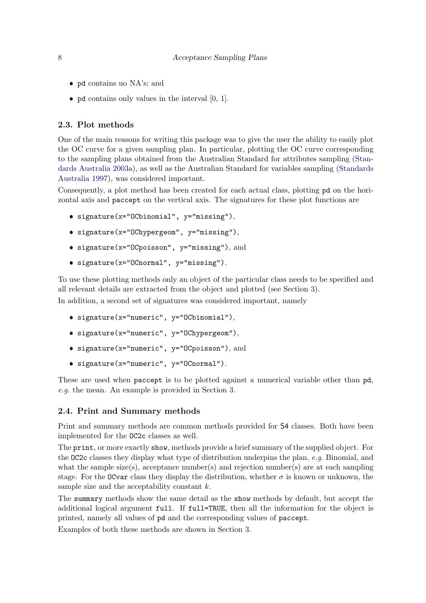- pd contains no NA's; and
- $\bullet$  pd contains only values in the interval  $[0, 1]$ .

#### <span id="page-7-0"></span>2.3. Plot methods

One of the main reasons for writing this package was to give the user the ability to easily plot the OC curve for a given sampling plan. In particular, plotting the OC curve corresponding to the sampling plans obtained from the Australian Standard for attributes sampling [\(Stan](#page-20-8)[dards Australia](#page-20-8) [2003a\)](#page-20-8), as well as the Australian Standard for variables sampling [\(Standards](#page-20-7) [Australia](#page-20-7) [1997\)](#page-20-7), was considered important.

Consequently, a plot method has been created for each actual class, plotting pd on the horizontal axis and paccept on the vertical axis. The signatures for these plot functions are

- signature(x="OCbinomial", y="missing"),
- signature(x="OChypergeom", y="missing"),
- signature(x="OCpoisson", y="missing"), and
- signature(x="OCnormal", y="missing").

To use these plotting methods only an object of the particular class needs to be specified and all relevant details are extracted from the object and plotted (see Section [3\)](#page-8-0).

In addition, a second set of signatures was considered important, namely

- signature(x="numeric", y="OCbinomial"),
- signature(x="numeric", y="OChypergeom"),
- signature(x="numeric", y="OCpoisson"), and
- signature(x="numeric", y="OCnormal").

These are used when paccept is to be plotted against a numerical variable other than  $pd$ , e.g. the mean. An example is provided in Section [3.](#page-8-0)

#### 2.4. Print and Summary methods

Print and summary methods are common methods provided for S4 classes. Both have been implemented for the OC2c classes as well.

The print, or more exactly show, methods provide a brief summary of the supplied object. For the OC2c classes they display what type of distribution underpins the plan, e.g. Binomial, and what the sample size(s), acceptance number(s) and rejection number(s) are at each sampling stage. For the OCvar class they display the distribution, whether  $\sigma$  is known or unknown, the sample size and the acceptability constant  $k$ .

The summary methods show the same detail as the show methods by default, but accept the additional logical argument full. If full=TRUE, then all the information for the object is printed, namely all values of pd and the corresponding values of paccept.

Examples of both these methods are shown in Section [3.](#page-8-0)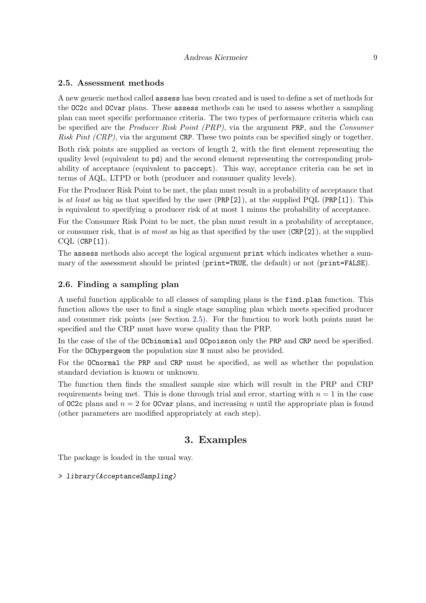## <span id="page-8-1"></span>2.5. Assessment methods

A new generic method called assess has been created and is used to define a set of methods for the OC2c and OCvar plans. These assess methods can be used to assess whether a sampling plan can meet specific performance criteria. The two types of performance criteria which can be specified are the Producer Risk Point (PRP), via the argument PRP, and the Consumer Risk Pint (CRP), via the argument CRP. These two points can be specified singly or together.

Both risk points are supplied as vectors of length 2, with the first element representing the quality level (equivalent to pd) and the second element representing the corresponding probability of acceptance (equivalent to paccept). This way, acceptance criteria can be set in terms of AQL, LTPD or both (producer and consumer quality levels).

For the Producer Risk Point to be met, the plan must result in a probability of acceptance that is at least as big as that specified by the user  $(PRP[2])$ , at the supplied PQL  $(PRP[1])$ . This is equivalent to specifying a producer risk of at most 1 minus the probability of acceptance.

For the Consumer Risk Point to be met, the plan must result in a probability of acceptance, or consumer risk, that is at most as big as that specified by the user  $(CRP[2])$ , at the supplied  $CQL$  (CRP $[1]$ ).

The assess methods also accept the logical argument print which indicates whether a summary of the assessment should be printed (print=TRUE, the default) or not (print=FALSE).

### 2.6. Finding a sampling plan

A useful function applicable to all classes of sampling plans is the find.plan function. This function allows the user to find a single stage sampling plan which meets specified producer and consumer risk points (see Section [2.5\)](#page-8-1). For the function to work both points must be specified and the CRP must have worse quality than the PRP.

In the case of the of the OCbinomial and OCpoisson only the PRP and CRP need be specified. For the OChypergeom the population size N must also be provided.

For the OCnormal the PRP and CRP must be specified, as well as whether the population standard deviation is known or unknown.

The function then finds the smallest sample size which will result in the PRP and CRP requirements being met. This is done through trial and error, starting with  $n = 1$  in the case of OC2c plans and  $n = 2$  for OCvar plans, and increasing n until the appropriate plan is found (other parameters are modified appropriately at each step).

# 3. Examples

<span id="page-8-0"></span>The package is loaded in the usual way.

## > library(AcceptanceSampling)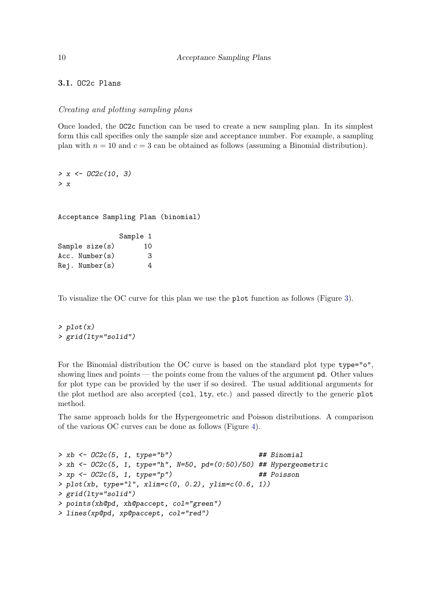3.1. OC2c Plans

#### <span id="page-9-0"></span>Creating and plotting sampling plans

Once loaded, the OC2c function can be used to create a new sampling plan. In its simplest form this call specifies only the sample size and acceptance number. For example, a sampling plan with  $n = 10$  and  $c = 3$  can be obtained as follows (assuming a Binomial distribution).

 $> x < -$  OC2c(10, 3) > x

Acceptance Sampling Plan (binomial)

Sample 1 Sample size(s) 10 Acc. Number(s) 3 Rej. Number(s) 4

To visualize the OC curve for this plan we use the plot function as follows (Figure [3\)](#page-10-0).

 $> plot(x)$ > grid(lty="solid")

For the Binomial distribution the OC curve is based on the standard plot type type="o", showing lines and points — the points come from the values of the argument pd. Other values for plot type can be provided by the user if so desired. The usual additional arguments for the plot method are also accepted (col, lty, etc.) and passed directly to the generic plot method.

The same approach holds for the Hypergeometric and Poisson distributions. A comparison of the various OC curves can be done as follows (Figure [4\)](#page-11-0).

 $> xb \leftarrow 0C2c(5, 1, type="b")$  ## Binomial > xh <-  $OC2c(5, 1, type="h", N=50, pd=(0:50)/50) # # Hypergeometric$  $> xp \leftarrow 0C2c(5, 1, type="p")$  ## Poisson  $> plot(xb, type="1", xlim=c(0, 0.2), ylim=c(0.6, 1))$ > grid(lty="solid") > points(xh@pd, xh@paccept, col="green") > lines(xp@pd, xp@paccept, col="red")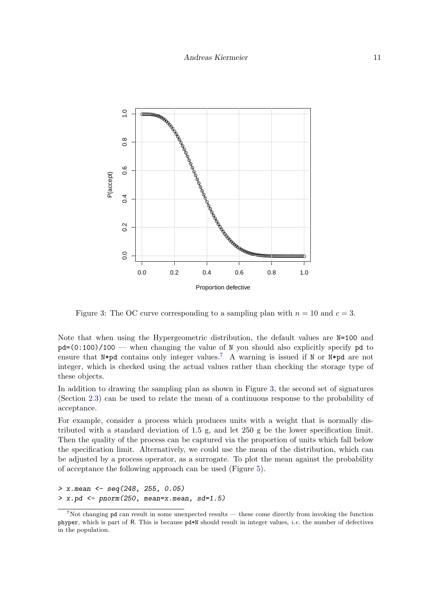

<span id="page-10-0"></span>Figure 3: The OC curve corresponding to a sampling plan with  $n = 10$  and  $c = 3$ .

Note that when using the Hypergeometric distribution, the default values are  $N=100$  and  $pd=(0:100)/100$  — when changing the value of N you should also explicitly specify pd to ensure that N\*pd contains only integer values.<sup>[7](#page-10-1)</sup> A warning is issued if N or N\*pd are not integer, which is checked using the actual values rather than checking the storage type of these objects.

In addition to drawing the sampling plan as shown in Figure [3,](#page-10-0) the second set of signatures (Section [2.3\)](#page-7-0) can be used to relate the mean of a continuous response to the probability of acceptance.

For example, consider a process which produces units with a weight that is normally distributed with a standard deviation of 1.5 g, and let 250 g be the lower specification limit. Then the quality of the process can be captured via the proportion of units which fall below the specification limit. Alternatively, we could use the mean of the distribution, which can be adjusted by a process operator, as a surrogate. To plot the mean against the probability of acceptance the following approach can be used (Figure [5\)](#page-12-0).

```
> x.mean <- seq(248, 255, 0.05)
> x.pd \leq -\text{pnorm}(250, \text{mean}=x \text{mean}, \text{sd}=1.5)
```
<span id="page-10-1"></span><sup>&</sup>lt;sup>7</sup>Not changing pd can result in some unexpected results — these come directly from invoking the function phyper, which is part of R. This is because pd\*N should result in integer values, i.e. the number of defectives in the population.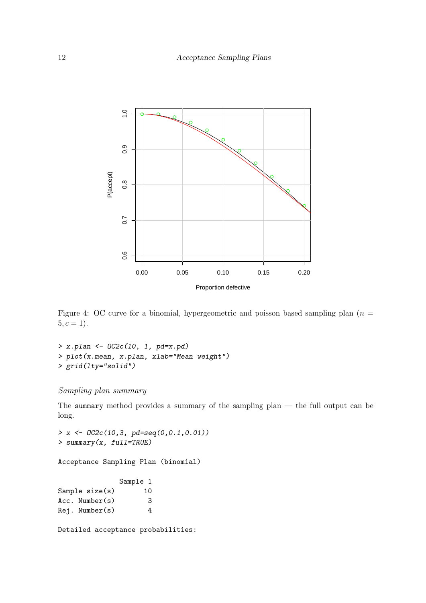

<span id="page-11-0"></span>Figure 4: OC curve for a binomial, hypergeometric and poisson based sampling plan ( $n =$  $5, c = 1$ ).

> x.plan <- OC2c(10, 1, pd=x.pd) > plot(x.mean, x.plan, xlab="Mean weight") > grid(lty="solid")

# Sampling plan summary

The summary method provides a summary of the sampling plan — the full output can be long.

```
> x <- OC2c(10,3, pd=seq(0,0.1,0.01))
> summary(x, full=TRUE)
```
Acceptance Sampling Plan (binomial)

# Sample 1

| Sample $size(s)$    | 10 |
|---------------------|----|
| $Acc.$ Number $(s)$ | 3  |
| $Rej.$ Number $(s)$ | 4  |

Detailed acceptance probabilities: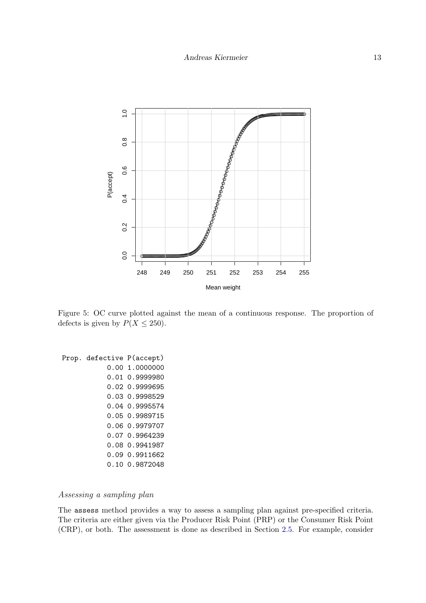

<span id="page-12-0"></span>Figure 5: OC curve plotted against the mean of a continuous response. The proportion of defects is given by  $P(X \le 250)$ .

Prop. defective P(accept) 0.00 1.0000000 0.01 0.9999980 0.02 0.9999695 0.03 0.9998529 0.04 0.9995574 0.05 0.9989715 0.06 0.9979707 0.07 0.9964239 0.08 0.9941987 0.09 0.9911662 0.10 0.9872048

## <span id="page-12-1"></span>Assessing a sampling plan

The assess method provides a way to assess a sampling plan against pre-specified criteria. The criteria are either given via the Producer Risk Point (PRP) or the Consumer Risk Point (CRP), or both. The assessment is done as described in Section [2.5.](#page-8-1) For example, consider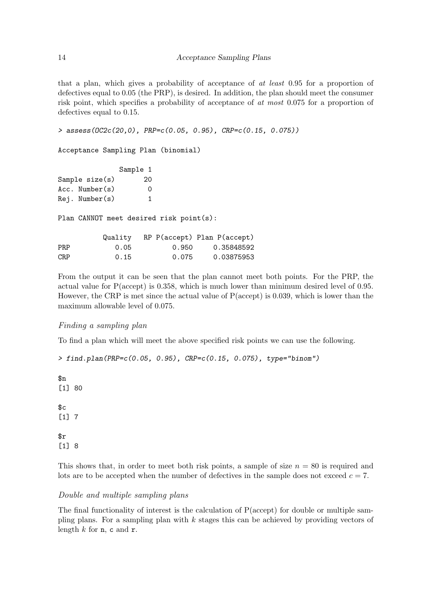that a plan, which gives a probability of acceptance of at least 0.95 for a proportion of defectives equal to 0.05 (the PRP), is desired. In addition, the plan should meet the consumer risk point, which specifies a probability of acceptance of at most 0.075 for a proportion of defectives equal to 0.15.

> assess(OC2c(20,0), PRP=c(0.05, 0.95), CRP=c(0.15, 0.075))

Acceptance Sampling Plan (binomial)

|                                         |                     | Sample 1 |       |                                     |  |  |
|-----------------------------------------|---------------------|----------|-------|-------------------------------------|--|--|
|                                         | Sample size(s)      | 20       |       |                                     |  |  |
|                                         | $Acc.$ Number $(s)$ | 0        |       |                                     |  |  |
|                                         | $Rej.$ Number $(s)$ | 1        |       |                                     |  |  |
| Plan CANNOT meet desired risk point(s): |                     |          |       |                                     |  |  |
|                                         |                     |          |       | Quality RP P(accept) Plan P(accept) |  |  |
| PRP                                     |                     | 0.05     | 0.950 | 0.35848592                          |  |  |
| <b>CRP</b>                              |                     | 0.15     | 0.075 | 0.03875953                          |  |  |

From the output it can be seen that the plan cannot meet both points. For the PRP, the actual value for P(accept) is 0.358, which is much lower than minimum desired level of 0.95. However, the CRP is met since the actual value of P(accept) is 0.039, which is lower than the maximum allowable level of 0.075.

## <span id="page-13-0"></span>Finding a sampling plan

To find a plan which will meet the above specified risk points we can use the following.

```
> find.plan(PRP=c(0.05, 0.95), CRP=c(0.15, 0.075), type="binom")
```
\$n [1] 80  $c$ [1] 7  $\mathbf{fr}$ [1] 8

This shows that, in order to meet both risk points, a sample of size  $n = 80$  is required and lots are to be accepted when the number of defectives in the sample does not exceed  $c = 7$ .

#### Double and multiple sampling plans

The final functionality of interest is the calculation of P(accept) for double or multiple sampling plans. For a sampling plan with  $k$  stages this can be achieved by providing vectors of length  $k$  for  $n$ , c and  $r$ .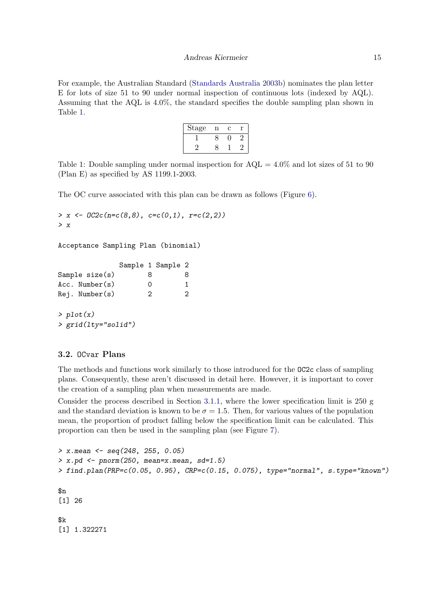For example, the Australian Standard [\(Standards Australia](#page-20-1) [2003b\)](#page-20-1) nominates the plan letter E for lots of size 51 to 90 under normal inspection of continuous lots (indexed by AQL). Assuming that the AQL is 4.0%, the standard specifies the double sampling plan shown in Table [1.](#page-14-0)

| Stage | n | C |  |
|-------|---|---|--|
|       |   |   |  |
|       |   |   |  |

<span id="page-14-0"></span>Table 1: Double sampling under normal inspection for  $AQL = 4.0\%$  and lot sizes of 51 to 90 (Plan E) as specified by AS 1199.1-2003.

The OC curve associated with this plan can be drawn as follows (Figure [6\)](#page-15-0).

```
> x \leftarrow 0C2c(n=c(8,8), c=c(0,1), r=c(2,2))
> x
```
Acceptance Sampling Plan (binomial)

|                     |               | Sample 1 Sample 2 |    |
|---------------------|---------------|-------------------|----|
| Sample $size(s)$    | x             |                   | 8  |
| $Acc.$ Number $(s)$ | $\mathcal{L}$ |                   | 1. |
| Rej. Number(s)      | 2             |                   | 2  |
|                     |               |                   |    |

> plot(x) > grid(lty="solid")

## 3.2. OCvar Plans

The methods and functions work similarly to those introduced for the OC2c class of sampling plans. Consequently, these aren't discussed in detail here. However, it is important to cover the creation of a sampling plan when measurements are made.

Consider the process described in Section [3.1.1,](#page-9-0) where the lower specification limit is 250 g and the standard deviation is known to be  $\sigma = 1.5$ . Then, for various values of the population mean, the proportion of product falling below the specification limit can be calculated. This proportion can then be used in the sampling plan (see Figure [7\)](#page-16-0).

```
> x. mean <- seq(248, 255, 0.05)
> x.pd \leq -pnorm(250, mean=x.mean, sd=1.5)> find. plan(PRP=c(0.05, 0.95), CRP=c(0.15, 0.075), type="normal", s.type="known")
$n
[1] 26
$k
[1] 1.322271
```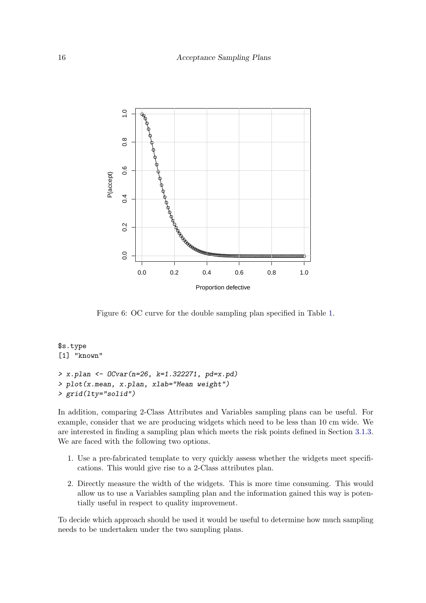

<span id="page-15-0"></span>Figure 6: OC curve for the double sampling plan specified in Table [1.](#page-14-0)

```
$s.type
[1] "known"
> x.plan <- OCvar(n=26, k=1.322271, pd=x.pd)
> plot(x.mean, x.plan, xlab="Mean weight")
> grid(lty="solid")
```
In addition, comparing 2-Class Attributes and Variables sampling plans can be useful. For example, consider that we are producing widgets which need to be less than 10 cm wide. We are interested in finding a sampling plan which meets the risk points defined in Section [3.1.3.](#page-12-1) We are faced with the following two options.

- 1. Use a pre-fabricated template to very quickly assess whether the widgets meet specifications. This would give rise to a 2-Class attributes plan.
- 2. Directly measure the width of the widgets. This is more time consuming. This would allow us to use a Variables sampling plan and the information gained this way is potentially useful in respect to quality improvement.

To decide which approach should be used it would be useful to determine how much sampling needs to be undertaken under the two sampling plans.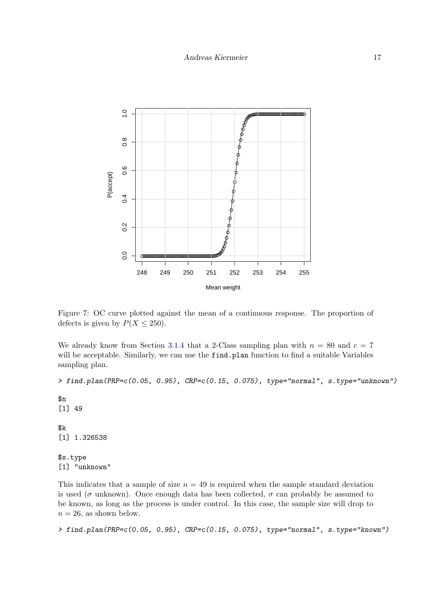

<span id="page-16-0"></span>Figure 7: OC curve plotted against the mean of a continuous response. The proportion of defects is given by  $P(X \le 250)$ .

We already know from Section [3.1.4](#page-13-0) that a 2-Class sampling plan with  $n = 80$  and  $c = 7$ will be acceptable. Similarly, we can use the find.plan function to find a suitable Variables sampling plan.

> find.plan(PRP=c(0.05, 0.95), CRP=c(0.15, 0.075), type="normal", s.type="unknown")

\$n [1] 49 \$k [1] 1.326538

\$s.type [1] "unknown"

This indicates that a sample of size  $n = 49$  is required when the sample standard deviation is used ( $\sigma$  unknown). Once enough data has been collected,  $\sigma$  can probably be assumed to be known, as long as the process is under control. In this case, the sample size will drop to  $n = 26$ , as shown below.

> find.plan(PRP=c(0.05, 0.95), CRP=c(0.15, 0.075), type="normal", s.type="known")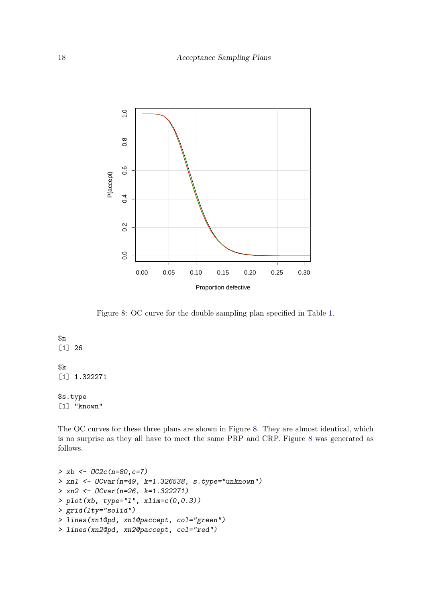

<span id="page-17-0"></span>Figure 8: OC curve for the double sampling plan specified in Table [1.](#page-14-0)

# \$n

[1] 26

## \$k

[1] 1.322271

## \$s.type [1] "known"

The OC curves for these three plans are shown in Figure [8.](#page-17-0) They are almost identical, which is no surprise as they all have to meet the same PRP and CRP. Figure [8](#page-17-0) was generated as follows.

```
> xb <- OC2c(n=80,c=7)
> xn1 <- OCvar(n=49, k=1.326538, s.type="unknown")
> xn2 <- OCvar(n=26, k=1.322271)
> plot(xb, type="1", xlim=c(0,0.3))> grid(lty="solid")
> lines(xn1@pd, xn1@paccept, col="green")
> lines(xn2@pd, xn2@paccept, col="red")
```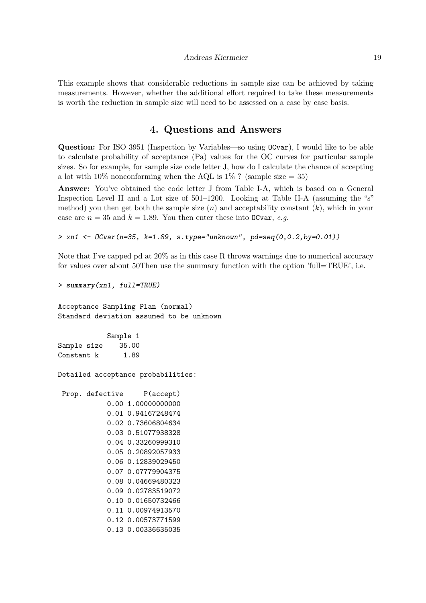This example shows that considerable reductions in sample size can be achieved by taking measurements. However, whether the additional effort required to take these measurements is worth the reduction in sample size will need to be assessed on a case by case basis.

## 4. Questions and Answers

Question: For ISO 3951 (Inspection by Variables—so using OCvar), I would like to be able to calculate probability of acceptance (Pa) values for the OC curves for particular sample sizes. So for example, for sample size code letter J, how do I calculate the chance of accepting a lot with  $10\%$  nonconforming when the AQL is  $1\%$ ? (sample size = 35)

Answer: You've obtained the code letter J from Table I-A, which is based on a General Inspection Level II and a Lot size of 501–1200. Looking at Table II-A (assuming the "s" method) you then get both the sample size  $(n)$  and acceptability constant  $(k)$ , which in your case are  $n = 35$  and  $k = 1.89$ . You then enter these into OCvar, e.g.

```
> \text{xn1} \leq -0 \text{Cvar}(n=35, k=1.89, s. \text{type} = \text{"unknown", pd=seq(0, 0.2, by=0.01)})
```
Note that I've capped pd at 20% as in this case R throws warnings due to numerical accuracy for values over about 50Then use the summary function with the option 'full=TRUE', i.e.

> summary(xn1, full=TRUE)

Acceptance Sampling Plan (normal) Standard deviation assumed to be unknown

Sample 1 Sample size 35.00 Constant k 1.89

Detailed acceptance probabilities:

Prop. defective P(accept) 0.00 1.00000000000 0.01 0.94167248474 0.02 0.73606804634 0.03 0.51077938328 0.04 0.33260999310 0.05 0.20892057933 0.06 0.12839029450 0.07 0.07779904375 0.08 0.04669480323 0.09 0.02783519072 0.10 0.01650732466 0.11 0.00974913570 0.12 0.00573771599 0.13 0.00336635035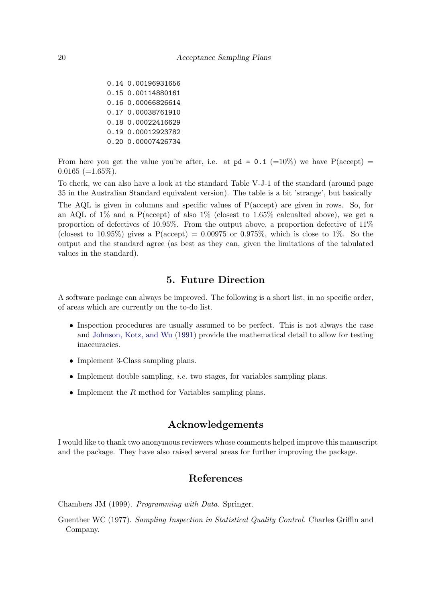0.14 0.00196931656 0.15 0.00114880161 0.16 0.00066826614 0.17 0.00038761910 0.18 0.00022416629 0.19 0.00012923782 0.20 0.00007426734

From here you get the value you're after, i.e. at  $pd = 0.1$  (=10%) we have  $P(\text{accept})$  =  $0.0165 (=1.65\%).$ 

To check, we can also have a look at the standard Table V-J-1 of the standard (around page 35 in the Australian Standard equivalent version). The table is a bit 'strange', but basically The AQL is given in columns and specific values of P(accept) are given in rows. So, for an AQL of  $1\%$  and a P(accept) of also  $1\%$  (closest to  $1.65\%$  calcualted above), we get a proportion of defectives of 10.95%. From the output above, a proportion defective of 11% (closest to 10.95%) gives a  $P(\text{accept}) = 0.00975$  or 0.975%, which is close to 1%. So the output and the standard agree (as best as they can, given the limitations of the tabulated values in the standard).

# 5. Future Direction

A software package can always be improved. The following is a short list, in no specific order, of areas which are currently on the to-do list.

- Inspection procedures are usually assumed to be perfect. This is not always the case and [Johnson, Kotz, and Wu](#page-20-9) [\(1991\)](#page-20-9) provide the mathematical detail to allow for testing inaccuracies.
- Implement 3-Class sampling plans.
- $\bullet$  Implement double sampling, *i.e.* two stages, for variables sampling plans.
- Implement the  $R$  method for Variables sampling plans.

# Acknowledgements

I would like to thank two anonymous reviewers whose comments helped improve this manuscript and the package. They have also raised several areas for further improving the package.

# References

<span id="page-19-1"></span>Chambers JM (1999). Programming with Data. Springer.

<span id="page-19-0"></span>Guenther WC (1977). Sampling Inspection in Statistical Quality Control. Charles Griffin and Company.